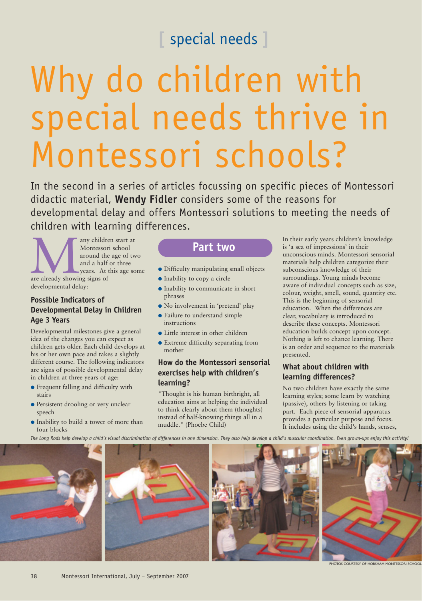# **[** special needs **]**

# Why do children with special needs thrive in Montessori schools?

In the second in a series of articles focussing on specific pieces of Montessori didactic material, **Wendy Fidler** considers some of the reasons for developmental delay and offers Montessori solutions to meeting the needs of children with learning differences.

any children start at<br>Montessori school<br>around the age of tv<br>and a half or three<br>years. At this age sc<br>are already showing signs of Montessori school around the age of two and a half or three years. At this age some are already showing signs of developmental delay:

### **Possible Indicators of Developmental Delay in Children Age 3 Years**

Developmental milestones give a general idea of the changes you can expect as children gets older. Each child develops at his or her own pace and takes a slightly different course. The following indicators are signs of possible developmental delay in children at three years of age:

- Frequent falling and difficulty with stairs
- **Persistent drooling or very unclear** speech
- Inability to build a tower of more than four blocks

# **Part two**

- Difficulty manipulating small objects
- Inability to copy a circle
- Inability to communicate in short phrases
- No involvement in 'pretend' play
- Failure to understand simple instructions
- Little interest in other children
- Extreme difficulty separating from mother

#### **How do the Montessori sensorial exercises help with children's learning?**

"Thought is his human birthright, all education aims at helping the individual to think clearly about them (thoughts) instead of half-knowing things all in a muddle." (Phoebe Child)

In their early years children's knowledge is 'a sea of impressions' in their unconscious minds. Montessori sensorial materials help children categorize their subconscious knowledge of their surroundings. Young minds become aware of individual concepts such as size, colour, weight, smell, sound, quantity etc. This is the beginning of sensorial education. When the differences are clear, vocabulary is introduced to describe these concepts. Montessori education builds concept upon concept. Nothing is left to chance learning. There is an order and sequence to the materials presented.

#### **What about children with learning differences?**

No two children have exactly the same learning styles; some learn by watching (passive), others by listening or taking part. Each piece of sensorial apparatus provides a particular purpose and focus. It includes using the child's hands, senses,

*The Long Rods help develop a child's visual discrimination of differences in one dimension. They also help develop a child's muscular coordination. Even grown-ups enjoy this activity!*



PHOTOS COURTESY OF HORSHAM MONTESSORI SCHOOL